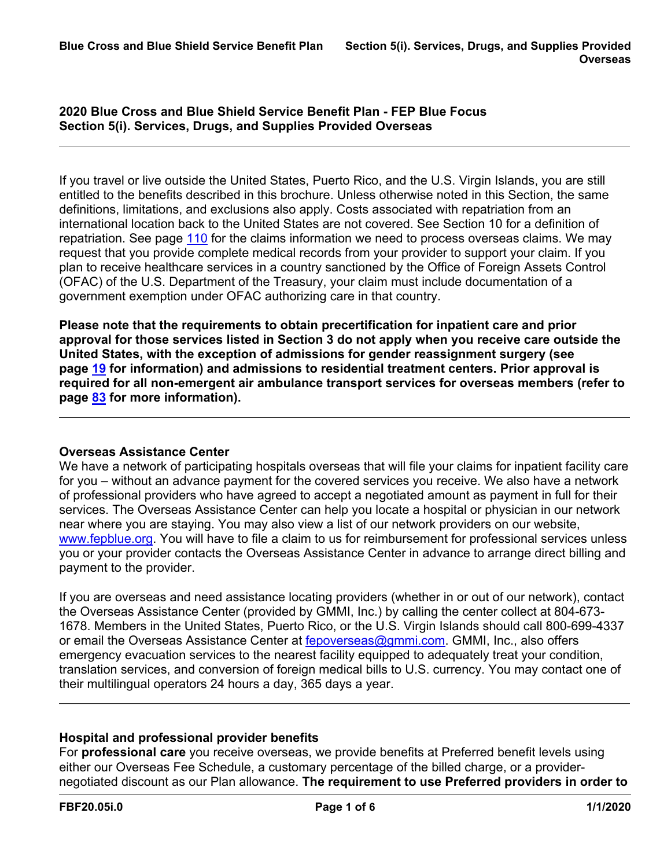**2020 Blue Cross and Blue Shield Service Benefit Plan - FEP Blue Focus Section 5(i). Services, Drugs, and Supplies Provided Overseas**

If you travel or live outside the United States, Puerto Rico, and the U.S. Virgin Islands, you are still entitled to the benefits described in this brochure. Unless otherwise noted in this Section, the same definitions, limitations, and exclusions also apply. Costs associated with repatriation from an international location back to the United States are not covered. See Section 10 for a definition of repatriation. See page [110](a8376318-ebd6-421f-be63-acf8c88376a1_d5e52b94-f307-44c1-a7bd-ff1eadcecad9.html?v=32493) for the claims information we need to process overseas claims. We may request that you provide complete medical records from your provider to support your claim. If you plan to receive healthcare services in a country sanctioned by the Office of Foreign Assets Control (OFAC) of the U.S. Department of the Treasury, your claim must include documentation of a government exemption under OFAC authorizing care in that country.

**Please note that the requirements to obtain precertification for inpatient care and prior approval for those services listed in Section 3 do not apply when you receive care outside the United States, with the exception of admissions for gender reassignment surgery (see page [19](a8376318-ebd6-421f-be63-acf8c88376a1_4311bd7a-6a6e-4b2d-a191-72fca6cdb38b.html?v=32493) for information) and admissions to residential treatment centers. Prior approval is required for all non-emergent air ambulance transport services for overseas members (refer to page [83](a8376318-ebd6-421f-be63-acf8c88376a1_b4c0120b-c967-42f3-8e6a-6cd02e7319a0.html?v=32493) for more information).**

# **Overseas Assistance Center**

We have a network of participating hospitals overseas that will file your claims for inpatient facility care for you – without an advance payment for the covered services you receive. We also have a network of professional providers who have agreed to accept a negotiated amount as payment in full for their services. The Overseas Assistance Center can help you locate a hospital or physician in our network near where you are staying. You may also view a list of our network providers on our website, [www.fepblue.org.](http://www.fepblue.org/) You will have to file a claim to us for reimbursement for professional services unless you or your provider contacts the Overseas Assistance Center in advance to arrange direct billing and payment to the provider.

If you are overseas and need assistance locating providers (whether in or out of our network), contact the Overseas Assistance Center (provided by GMMI, Inc.) by calling the center collect at 804-673- 1678. Members in the United States, Puerto Rico, or the U.S. Virgin Islands should call 800-699-4337 or email the Overseas Assistance Center at [fepoverseas@gmmi.com](mailto:fepoverseas@gmmi.com). GMMI, Inc., also offers emergency evacuation services to the nearest facility equipped to adequately treat your condition, translation services, and conversion of foreign medical bills to U.S. currency. You may contact one of their multilingual operators 24 hours a day, 365 days a year.

### **Hospital and professional provider benefits**

For **professional care** you receive overseas, we provide benefits at Preferred benefit levels using either our Overseas Fee Schedule, a customary percentage of the billed charge, or a providernegotiated discount as our Plan allowance. **The requirement to use Preferred providers in order to**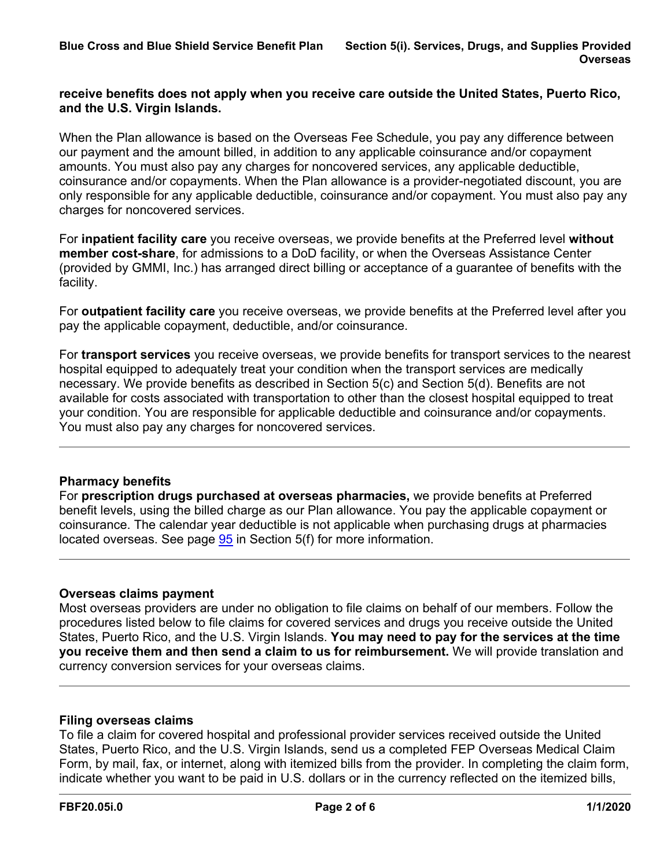### **receive benefits does not apply when you receive care outside the United States, Puerto Rico, and the U.S. Virgin Islands.**

When the Plan allowance is based on the Overseas Fee Schedule, you pay any difference between our payment and the amount billed, in addition to any applicable coinsurance and/or copayment amounts. You must also pay any charges for noncovered services, any applicable deductible, coinsurance and/or copayments. When the Plan allowance is a provider-negotiated discount, you are only responsible for any applicable deductible, coinsurance and/or copayment. You must also pay any charges for noncovered services.

For **inpatient facility care** you receive overseas, we provide benefits at the Preferred level **without member cost-share**, for admissions to a DoD facility, or when the Overseas Assistance Center (provided by GMMI, Inc.) has arranged direct billing or acceptance of a guarantee of benefits with the facility.

For **outpatient facility care** you receive overseas, we provide benefits at the Preferred level after you pay the applicable copayment, deductible, and/or coinsurance.

For **transport services** you receive overseas, we provide benefits for transport services to the nearest hospital equipped to adequately treat your condition when the transport services are medically necessary. We provide benefits as described in Section 5(c) and Section 5(d). Benefits are not available for costs associated with transportation to other than the closest hospital equipped to treat your condition. You are responsible for applicable deductible and coinsurance and/or copayments. You must also pay any charges for noncovered services.

# **Pharmacy benefits**

For **prescription drugs purchased at overseas pharmacies,** we provide benefits at Preferred benefit levels, using the billed charge as our Plan allowance. You pay the applicable copayment or coinsurance. The calendar year deductible is not applicable when purchasing drugs at pharmacies located overseas. See page [95](a8376318-ebd6-421f-be63-acf8c88376a1_da51508d-799d-4d00-937a-7b1337ffb505.html?v=32493) in Section 5(f) for more information.

# **Overseas claims payment**

Most overseas providers are under no obligation to file claims on behalf of our members. Follow the procedures listed below to file claims for covered services and drugs you receive outside the United States, Puerto Rico, and the U.S. Virgin Islands. **You may need to pay for the services at the time you receive them and then send a claim to us for reimbursement.** We will provide translation and currency conversion services for your overseas claims.

# **Filing overseas claims**

To file a claim for covered hospital and professional provider services received outside the United States, Puerto Rico, and the U.S. Virgin Islands, send us a completed FEP Overseas Medical Claim Form, by mail, fax, or internet, along with itemized bills from the provider. In completing the claim form, indicate whether you want to be paid in U.S. dollars or in the currency reflected on the itemized bills,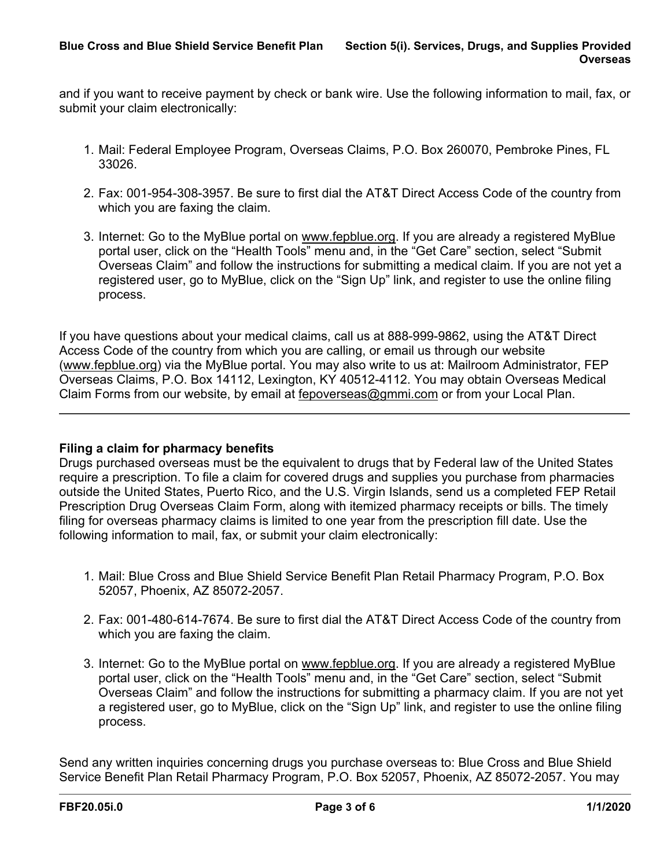and if you want to receive payment by check or bank wire. Use the following information to mail, fax, or submit your claim electronically:

- 1. Mail: Federal Employee Program, Overseas Claims, P.O. Box 260070, Pembroke Pines, FL 33026.
- 2. Fax: 001-954-308-3957. Be sure to first dial the AT&T Direct Access Code of the country from which you are faxing the claim.
- 3. Internet: Go to the MyBlue portal on [www.fepblue.org](http://www.fepblue.org/). If you are already a registered MyBlue portal user, click on the "Health Tools" menu and, in the "Get Care" section, select "Submit Overseas Claim" and follow the instructions for submitting a medical claim. If you are not yet a registered user, go to MyBlue, click on the "Sign Up" link, and register to use the online filing process.

If you have questions about your medical claims, call us at 888-999-9862, using the AT&T Direct Access Code of the country from which you are calling, or email us through our website ([www.fepblue.org](http://www.fepblue.org/)) via the MyBlue portal. You may also write to us at: Mailroom Administrator, FEP Overseas Claims, P.O. Box 14112, Lexington, KY 40512-4112. You may obtain Overseas Medical Claim Forms from our website, by email at [fepoverseas@gmmi.com](mailto:fepoverseas@gmmi.com) or from your Local Plan.

# **Filing a claim for pharmacy benefits**

Drugs purchased overseas must be the equivalent to drugs that by Federal law of the United States require a prescription. To file a claim for covered drugs and supplies you purchase from pharmacies outside the United States, Puerto Rico, and the U.S. Virgin Islands, send us a completed FEP Retail Prescription Drug Overseas Claim Form, along with itemized pharmacy receipts or bills. The timely filing for overseas pharmacy claims is limited to one year from the prescription fill date. Use the following information to mail, fax, or submit your claim electronically:

- 1. Mail: Blue Cross and Blue Shield Service Benefit Plan Retail Pharmacy Program, P.O. Box 52057, Phoenix, AZ 85072-2057.
- 2. Fax: 001-480-614-7674. Be sure to first dial the AT&T Direct Access Code of the country from which you are faxing the claim.
- 3. Internet: Go to the MyBlue portal on [www.fepblue.org](http://www.fepblue.org/). If you are already a registered MyBlue portal user, click on the "Health Tools" menu and, in the "Get Care" section, select "Submit Overseas Claim" and follow the instructions for submitting a pharmacy claim. If you are not yet a registered user, go to MyBlue, click on the "Sign Up" link, and register to use the online filing process.

Send any written inquiries concerning drugs you purchase overseas to: Blue Cross and Blue Shield Service Benefit Plan Retail Pharmacy Program, P.O. Box 52057, Phoenix, AZ 85072-2057. You may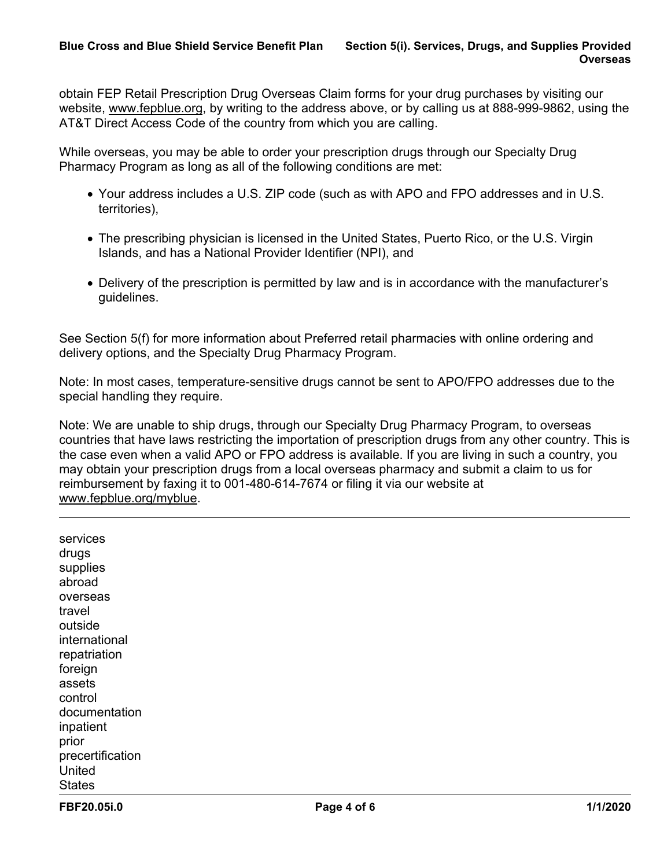obtain FEP Retail Prescription Drug Overseas Claim forms for your drug purchases by visiting our website, [www.fepblue.org](http://www.fepblue.org/), by writing to the address above, or by calling us at 888-999-9862, using the AT&T Direct Access Code of the country from which you are calling.

While overseas, you may be able to order your prescription drugs through our Specialty Drug Pharmacy Program as long as all of the following conditions are met:

- Your address includes a U.S. ZIP code (such as with APO and FPO addresses and in U.S. territories),
- The prescribing physician is licensed in the United States, Puerto Rico, or the U.S. Virgin Islands, and has a National Provider Identifier (NPI), and
- Delivery of the prescription is permitted by law and is in accordance with the manufacturer's guidelines.

See Section 5(f) for more information about Preferred retail pharmacies with online ordering and delivery options, and the Specialty Drug Pharmacy Program.

Note: In most cases, temperature-sensitive drugs cannot be sent to APO/FPO addresses due to the special handling they require.

Note: We are unable to ship drugs, through our Specialty Drug Pharmacy Program, to overseas countries that have laws restricting the importation of prescription drugs from any other country. This is the case even when a valid APO or FPO address is available. If you are living in such a country, you may obtain your prescription drugs from a local overseas pharmacy and submit a claim to us for reimbursement by faxing it to 001-480-614-7674 or filing it via our website at [www.fepblue.org/myblue.](http://www.fepblue.org/myblue)

services drugs supplies abroad overseas travel outside international repatriation foreign assets control documentation inpatient prior precertification United **States**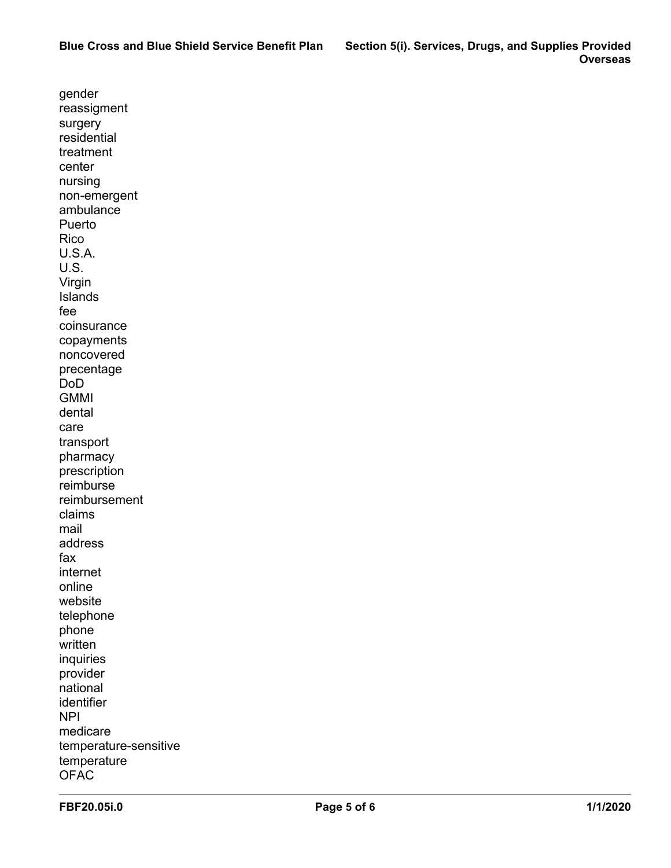gender reassigment surgery residential treatment center nursing non-emergent ambulance Puerto Rico U.S.A. U.S. Virgin Islands fee coinsurance copayments noncovered precentage DoD **GMMI** dental care transport pharmacy prescription reimburse reimbursement claims mail address fax internet online website telephone phone written inquiries provider national identifier NPI medicare temperature-sensitive temperature **OFAC**